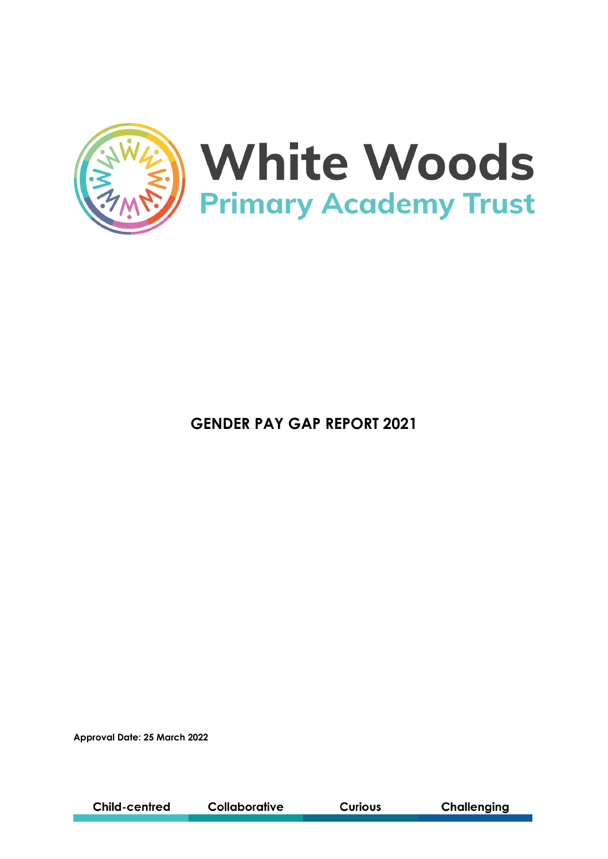

**GENDER PAY GAP REPORT 2021**

**Approval Date: 25 March 2022**

**Child-centred** Collaborative **Curious** 

**Challenging**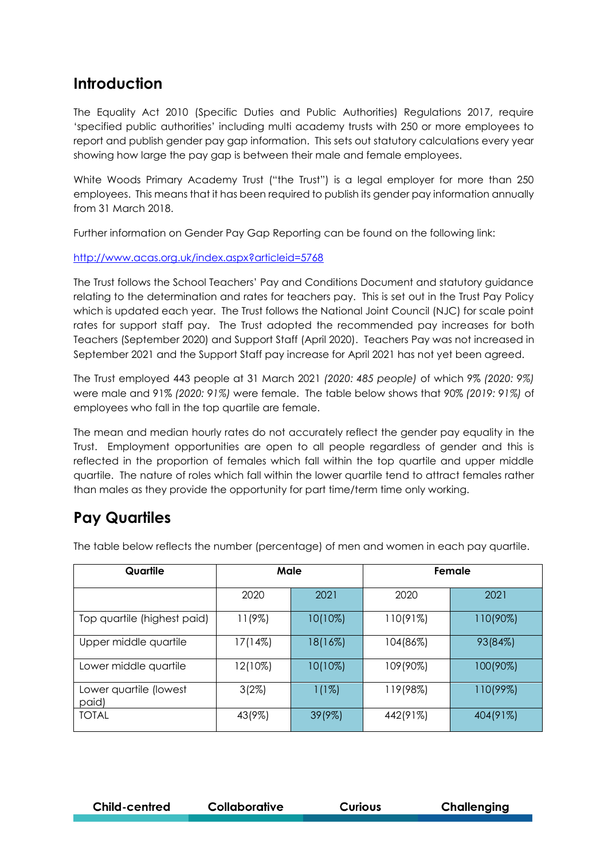### **Introduction**

The Equality Act 2010 (Specific Duties and Public Authorities) Regulations 2017, require 'specified public authorities' including multi academy trusts with 250 or more employees to report and publish gender pay gap information. This sets out statutory calculations every year showing how large the pay gap is between their male and female employees.

White Woods Primary Academy Trust ("the Trust") is a legal employer for more than 250 employees. This means that it has been required to publish its gender pay information annually from 31 March 2018.

Further information on Gender Pay Gap Reporting can be found on the following link:

<http://www.acas.org.uk/index.aspx?articleid=5768>

The Trust follows the School Teachers' Pay and Conditions Document and statutory guidance relating to the determination and rates for teachers pay. This is set out in the Trust Pay Policy which is updated each year. The Trust follows the National Joint Council (NJC) for scale point rates for support staff pay. The Trust adopted the recommended pay increases for both Teachers (September 2020) and Support Staff (April 2020). Teachers Pay was not increased in September 2021 and the Support Staff pay increase for April 2021 has not yet been agreed.

The Trust employed 443 people at 31 March 2021 *(2020: 485 people)* of which 9% *(2020: 9%)* were male and 91% *(2020: 91%)* were female. The table below shows that 90% *(2019: 91%)* of employees who fall in the top quartile are female.

The mean and median hourly rates do not accurately reflect the gender pay equality in the Trust. Employment opportunities are open to all people regardless of gender and this is reflected in the proportion of females which fall within the top quartile and upper middle quartile. The nature of roles which fall within the lower quartile tend to attract females rather than males as they provide the opportunity for part time/term time only working.

## **Pay Quartiles**

| Quartile                        | Male    |            | Female    |             |
|---------------------------------|---------|------------|-----------|-------------|
|                                 | 2020    | 2021       | 2020      | 2021        |
| Top quartile (highest paid)     | 11(9%)  | $10(10\%)$ | 110(91%)  | 110(90%)    |
| Upper middle quartile           | 17(14%) | 18(16%)    | 104(86%)  | 93(84%)     |
| Lower middle quartile           | 12(10%) | $10(10\%)$ | 109 (90%) | $100(90\%)$ |
| Lower quartile (lowest<br>paid) | 3(2%)   | $1(1\%)$   | 119(98%)  | 110(99%)    |
| <b>TOTAL</b>                    | 43(9%)  | $39(9\%)$  | 442(91%)  | 404(91%)    |

The table below reflects the number (percentage) of men and women in each pay quartile.